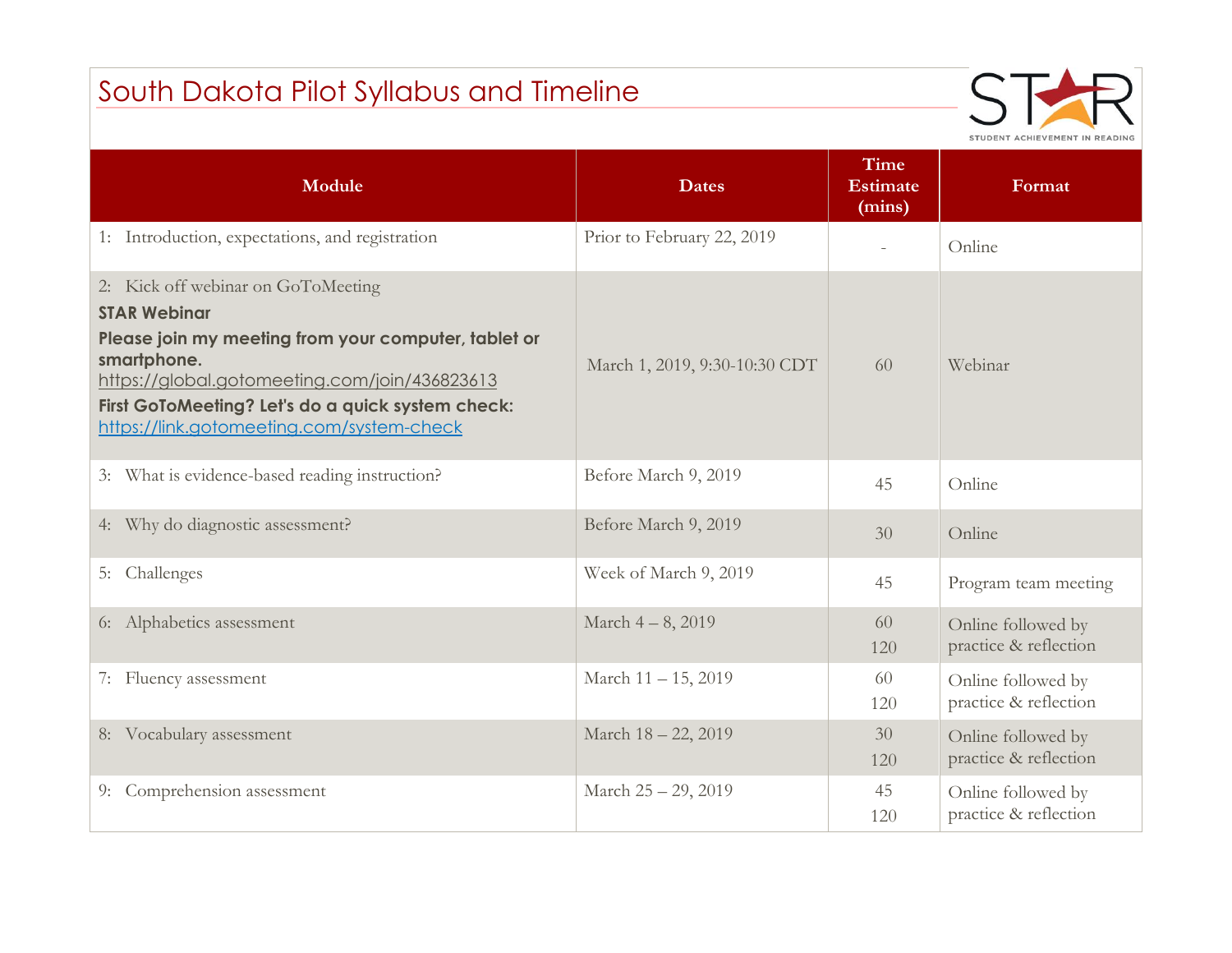## South Dakota Pilot Syllabus and Timeline



| Module                                                                                                                                                                                                                                                                              | <b>Dates</b>                  | <b>Time</b><br><b>Estimate</b><br>(mins) | Format                                      |
|-------------------------------------------------------------------------------------------------------------------------------------------------------------------------------------------------------------------------------------------------------------------------------------|-------------------------------|------------------------------------------|---------------------------------------------|
| 1: Introduction, expectations, and registration                                                                                                                                                                                                                                     | Prior to February 22, 2019    | $\equiv$                                 | Online                                      |
| 2: Kick off webinar on GoToMeeting<br><b>STAR Webinar</b><br>Please join my meeting from your computer, tablet or<br>smartphone.<br>https://global.gotomeeting.com/join/436823613<br>First GoToMeeting? Let's do a quick system check:<br>https://link.gotomeeting.com/system-check | March 1, 2019, 9:30-10:30 CDT | 60                                       | Webinar                                     |
| 3: What is evidence-based reading instruction?                                                                                                                                                                                                                                      | Before March 9, 2019          | 45                                       | Online                                      |
| 4: Why do diagnostic assessment?                                                                                                                                                                                                                                                    | Before March 9, 2019          | 30                                       | Online                                      |
| 5: Challenges                                                                                                                                                                                                                                                                       | Week of March 9, 2019         | 45                                       | Program team meeting                        |
| 6: Alphabetics assessment                                                                                                                                                                                                                                                           | March 4-8, 2019               | 60<br>120                                | Online followed by<br>practice & reflection |
| 7: Fluency assessment                                                                                                                                                                                                                                                               | March 11 - 15, 2019           | 60<br>120                                | Online followed by<br>practice & reflection |
| 8: Vocabulary assessment                                                                                                                                                                                                                                                            | March 18 - 22, 2019           | 30<br>120                                | Online followed by<br>practice & reflection |
| 9: Comprehension assessment                                                                                                                                                                                                                                                         | March 25 - 29, 2019           | 45<br>120                                | Online followed by<br>practice & reflection |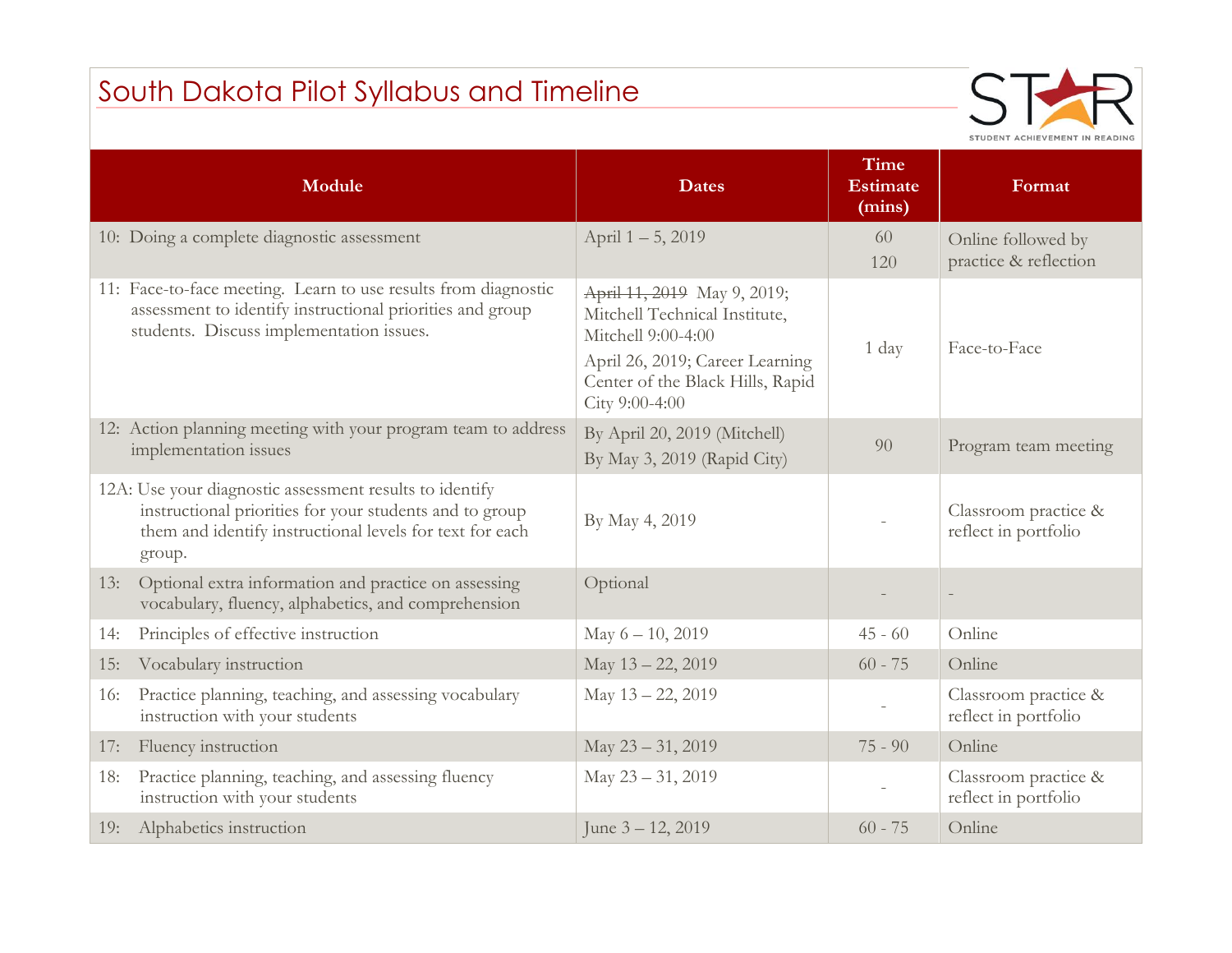## South Dakota Pilot Syllabus and Timeline



|     | Module                                                                                                                                                                                   | <b>Dates</b>                                                                                                                                                                | <b>Time</b><br><b>Estimate</b><br>(mins) | Format                                       |
|-----|------------------------------------------------------------------------------------------------------------------------------------------------------------------------------------------|-----------------------------------------------------------------------------------------------------------------------------------------------------------------------------|------------------------------------------|----------------------------------------------|
|     | 10: Doing a complete diagnostic assessment                                                                                                                                               | April 1-5, 2019                                                                                                                                                             | 60<br>120                                | Online followed by<br>practice & reflection  |
|     | 11: Face-to-face meeting. Learn to use results from diagnostic<br>assessment to identify instructional priorities and group<br>students. Discuss implementation issues.                  | April 11, 2019 May 9, 2019;<br>Mitchell Technical Institute,<br>Mitchell 9:00-4:00<br>April 26, 2019; Career Learning<br>Center of the Black Hills, Rapid<br>City 9:00-4:00 | 1 day                                    | Face-to-Face                                 |
|     | 12: Action planning meeting with your program team to address<br>implementation issues                                                                                                   | By April 20, 2019 (Mitchell)<br>By May 3, 2019 (Rapid City)                                                                                                                 | 90                                       | Program team meeting                         |
|     | 12A: Use your diagnostic assessment results to identify<br>instructional priorities for your students and to group<br>them and identify instructional levels for text for each<br>group. | By May 4, 2019                                                                                                                                                              |                                          | Classroom practice &<br>reflect in portfolio |
| 13: | Optional extra information and practice on assessing<br>vocabulary, fluency, alphabetics, and comprehension                                                                              | Optional                                                                                                                                                                    |                                          |                                              |
| 14: | Principles of effective instruction                                                                                                                                                      | May 6 - 10, 2019                                                                                                                                                            | $45 - 60$                                | Online                                       |
| 15: | Vocabulary instruction                                                                                                                                                                   | May 13 - 22, 2019                                                                                                                                                           | $60 - 75$                                | Online                                       |
| 16: | Practice planning, teaching, and assessing vocabulary<br>instruction with your students                                                                                                  | May 13 - 22, 2019                                                                                                                                                           |                                          | Classroom practice &<br>reflect in portfolio |
| 17: | Fluency instruction                                                                                                                                                                      | May 23 - 31, 2019                                                                                                                                                           | $75 - 90$                                | Online                                       |
| 18: | Practice planning, teaching, and assessing fluency<br>instruction with your students                                                                                                     | May 23 - 31, 2019                                                                                                                                                           |                                          | Classroom practice &<br>reflect in portfolio |
| 19: | Alphabetics instruction                                                                                                                                                                  | June $3 - 12, 2019$                                                                                                                                                         | $60 - 75$                                | Online                                       |